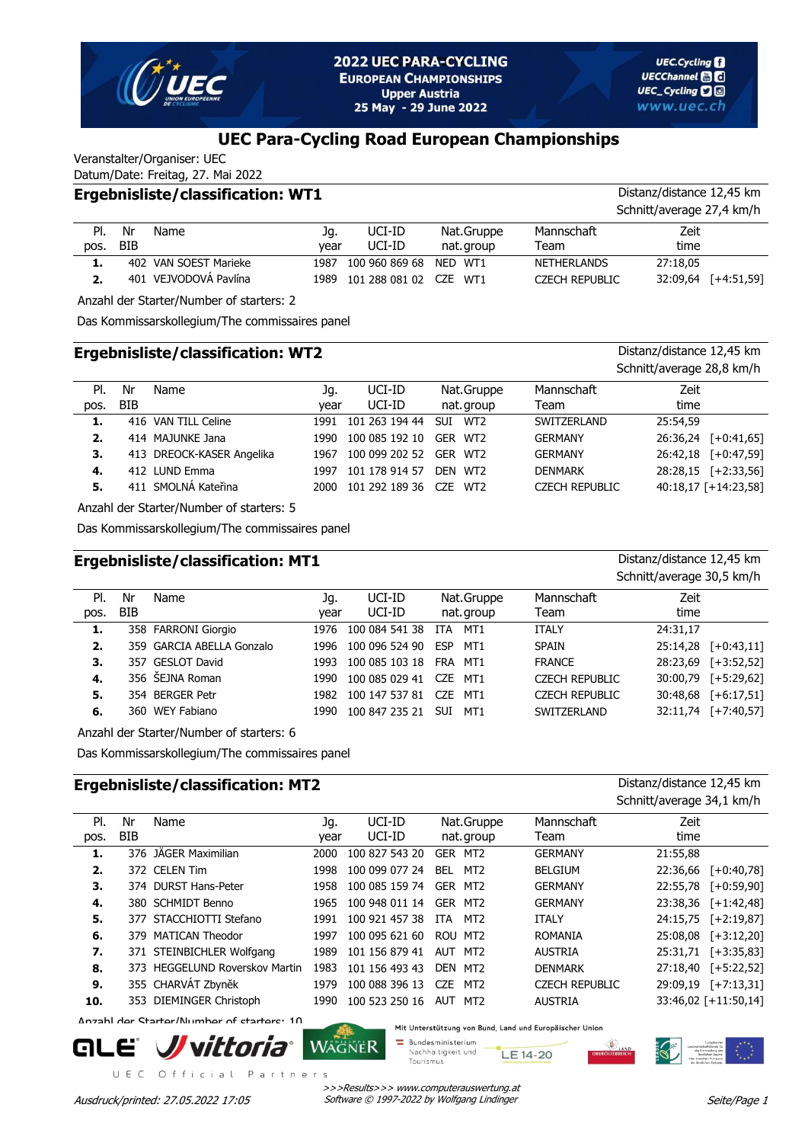

Zeit time

# **UEC Para-Cycling Road European Championships**

Veranstalter/Organiser: UEC Datum/Date: Freitag, 27. Mai 2022

#### **Ergebnisliste/classification: WT1** Distanz/distance 12,45 km Schnitt/average 27,4 km/h Nr BIB Name Mannschaft (1990) Jg. UCI-ID Nat. Gruppe Mannschaft Team Jg. year nat. group Pl. pos. UCI-ID UCI-ID **1.** 402 VAN SOEST Marieke 1987 100 960 869 68 NED WT1 NETHERLANDS 27:18,05

Anzahl der Starter/Number of starters: 2

Das Kommissarskollegium/The commissaires panel

#### **Ergebnisliste/classification: WT2** Distanz/distance 12,45 km Schnitt/average 28,8 km/h Nr BIB Name Mannschaft (1990) Jg. UCI-ID Nat. Gruppe Mannschaft Team Jg. year nat. group Zeit time Pl. pos. UCI-ID UCI-ID **1.** 416 VAN TILL Celine 1991 101 263 194 44 SUI WT2 SWITZERLAND 25:54,59 **2.** 414 MAJUNKE Jana 1990 100 085 192 10 GER WT2 GERMANY 26:36,24 [+0:41,65] **3.** 413 DREOCK-KASER Angelika 1967 100 099 202 52 GER WT2 GERMANY 26:42,18 [+0:47,59] **4.** 412 LUND Emma 1997 101 178 914 57 DEN WT2 DENMARK 28:28,15 [+2:33,56] **5.** 411 SMOLNÁ Kateřina 2000 101 292 189 36 CZE WT2 CZECH REPUBLIC 40:18,17 [+14:23,58]

**2.** 401 VEJVODOVÁ Pavlína 1989 101 288 081 02 CZE WT1 CZECH REPUBLIC 32:09,64 [+4:51,59]

Anzahl der Starter/Number of starters: 5

Das Kommissarskollegium/The commissaires panel

## **Ergebnisliste/classification: MT1 Distanz/distance 12,45 km**

|      |     |                           |      |                |            |            |                       | Schnitt/average 30,5 km/h |                     |
|------|-----|---------------------------|------|----------------|------------|------------|-----------------------|---------------------------|---------------------|
| PI.  | Nr  | Name                      | Jq.  | UCI-ID         |            | Nat.Gruppe | Mannschaft            | Zeit                      |                     |
| pos. | BIB |                           | year | UCI-ID         |            | nat.group  | Team                  | time                      |                     |
| 1.   |     | 358 FARRONI Giorgio       | 1976 | 100 084 541 38 | <b>ITA</b> | MT1        | <b>ITALY</b>          | 24:31.17                  |                     |
| 2.   |     | 359 GARCIA ABELLA Gonzalo | 1996 | 100 096 524 90 | <b>ESP</b> | MT1        | <b>SPAIN</b>          | 25:14.28                  | $[-10:43,11]$       |
| 3.   |     | 357 GESLOT David          | 1993 | 100 085 103 18 | FRA        | MT1        | <b>FRANCE</b>         |                           | 28:23,69 [+3:52,52] |
| 4.   |     | 356 ŠEJNA Roman           | 1990 | 100 085 029 41 | CZE.       | MT1        | <b>CZECH REPUBLIC</b> |                           | 30:00,79 [+5:29,62] |
| 5.   |     | 354 BERGER Petr           | 1982 | 100 147 537 81 | CZE.       | MT1        | <b>CZECH REPUBLIC</b> | 30:48,68                  | $[-6:17,51]$        |
| 6.   |     | 360 WEY Fabiano           | 1990 | 100 847 235 21 | <b>SUI</b> | MT1        | SWITZERLAND           | 32:11.74                  | $[-7:40,57]$        |

Anzahl der Starter/Number of starters: 6

Das Kommissarskollegium/The commissaires panel

## **Ergebnisliste/classification: MT2** Distanz/distance 12,45 km

| Distanz/distance 12.45 km |
|---------------------------|
| Schnitt/average 34,1 km/h |

| PI.  | Nr         | Name                           | Jq.  | UCI-ID         | Nat.Gruppe                    | Mannschaft            | Zeit     |                      |
|------|------------|--------------------------------|------|----------------|-------------------------------|-----------------------|----------|----------------------|
| pos. | <b>BIB</b> |                                | year | UCI-ID         | nat. group                    | Team                  | time     |                      |
| 1.   |            | 376 JÄGER Maximilian           | 2000 | 100 827 543 20 | GER MT2                       | <b>GERMANY</b>        | 21:55.88 |                      |
| 2.   |            | 372 CELEN Tim                  | 1998 | 100 099 077 24 | MT2<br><b>BEL</b>             | <b>BELGIUM</b>        | 22:36.66 | $[-6:40,78]$         |
| 3.   |            | 374 DURST Hans-Peter           | 1958 | 100 085 159 74 | GER MT2                       | <b>GERMANY</b>        |          | 22:55,78 [+0:59,90]  |
| 4.   |            | 380 SCHMIDT Benno              | 1965 | 100 948 011 14 | GER MT2                       | <b>GERMANY</b>        |          | 23:38,36 [+1:42,48]  |
| 5.   |            | 377 STACCHIOTTI Stefano        | 1991 | 100 921 457 38 | MT <sub>2</sub><br><b>ITA</b> | <b>ITALY</b>          |          | 24:15,75 [+2:19,87]  |
| 6.   |            | 379 MATICAN Theodor            | 1997 | 100 095 621 60 | ROU MT2                       | <b>ROMANIA</b>        |          | 25:08.08 [+3:12.20]  |
| 7.   |            | 371 STEINBICHLER Wolfgang      | 1989 | 101 156 879 41 | AUT MT2                       | <b>AUSTRIA</b>        |          | 25:31,71 [+3:35,83]  |
| 8.   |            | 373 HEGGELUND Roverskov Martin | 1983 | 101 156 493 43 | DEN<br>MT2                    | <b>DENMARK</b>        |          | 27:18,40 [+5:22,52]  |
| 9.   |            | 355 CHARVÁT Zbyněk             | 1979 | 100 088 396 13 | CZE.<br>MT <sub>2</sub>       | <b>CZECH REPUBLIC</b> |          | 29:09.19 [+7:13.31]  |
| 10.  |            | 353 DIEMINGER Christoph        | 1990 | 100 523 250 16 | AUT MT2                       | <b>AUSTRIA</b>        |          | 33:46,02 [+11:50,14] |
|      |            |                                |      |                |                               |                       |          |                      |

Anzahl der Starter/Number of starters: 10



UEC Official Partners

Mit Unterstützung von Bund, Land und Europäischer Union

**Bundesministerium** Nachhaltigkeit und LE 14-20 Tourismus

>>>Results>>> www.computerauswertung.at Ausdruck/printed: 27.05.2022 17:05 Software © 1997-2022 by Wolfgang Lindinger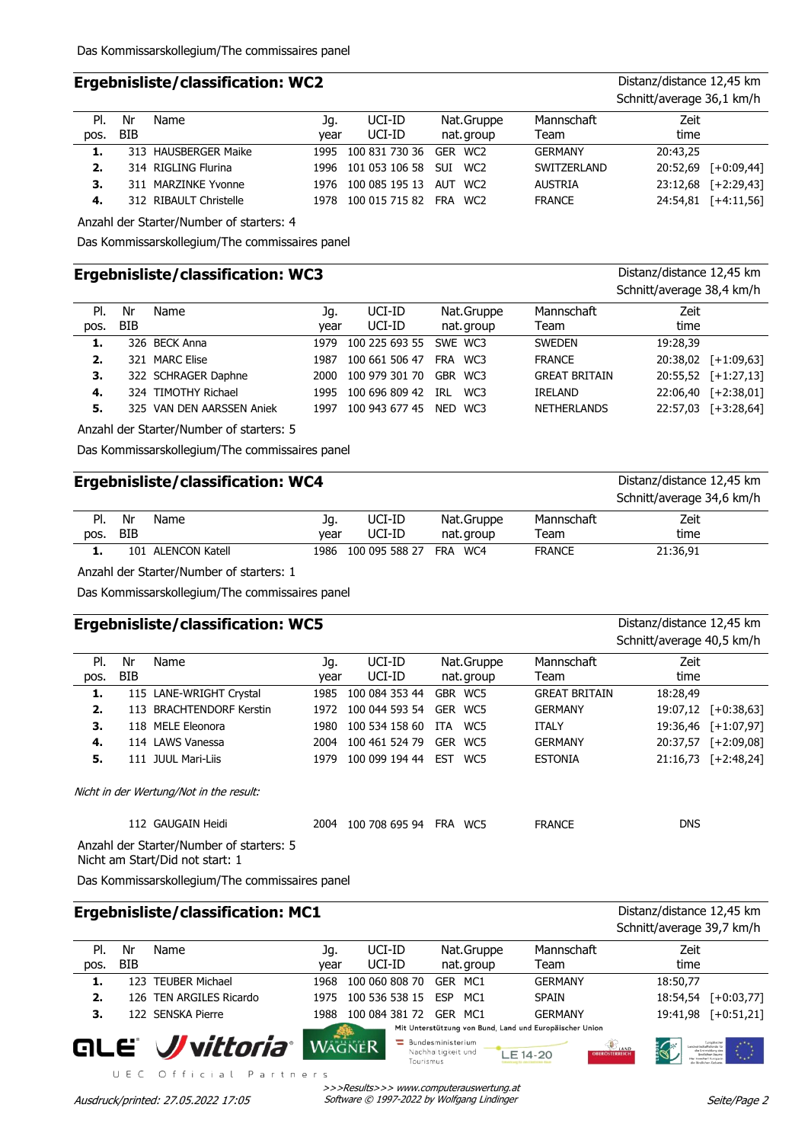## **Ergebnisliste/classification: WC2** Distanz/distance 12,45 km

|      |     |                        |      |                             |            |                | Schnitt/average 36,1 km/h |
|------|-----|------------------------|------|-----------------------------|------------|----------------|---------------------------|
| PI.  | Nr  | Name                   | Jq.  | UCI-ID                      | Nat.Gruppe | Mannschaft     | Zeit                      |
| pos. | BIB |                        | vear | UCI-ID                      | nat. group | Team           | time                      |
| 1.   |     | 313 HAUSBERGER Maike   |      | 1995 100 831 730 36         | GER WC2    | <b>GERMANY</b> | 20:43.25                  |
| 2.   |     | 314 RIGLING Flurina    |      | 1996 101 053 106 58         | SUI WC2    | SWITZERLAND    | 20:52,69 [+0:09,44]       |
| 3.   |     | 311 MARZINKE Yvonne    |      | 1976 100 085 195 13         | AUT WC2    | <b>AUSTRIA</b> | 23:12,68 [+2:29,43]       |
| 4.   |     | 312 RIBAULT Christelle |      | 1978 100 015 715 82 FRA WC2 |            | <b>FRANCE</b>  | 24:54,81 [+4:11,56]       |

Anzahl der Starter/Number of starters: 4

Das Kommissarskollegium/The commissaires panel

### **Ergebnisliste/classification: WC3** Distanz/distance 12,45 km

|      |     |                           |      |                |            |                      | Schnitt/average 38,4 km/h |
|------|-----|---------------------------|------|----------------|------------|----------------------|---------------------------|
| PI.  | Nr  | Name                      | Jq.  | UCI-ID         | Nat.Gruppe | Mannschaft           | Zeit                      |
| pos. | BIB |                           | vear | UCI-ID         | nat. group | Team                 | time                      |
| 1.   |     | 326 BECK Anna             | 1979 | 100 225 693 55 | SWE WC3    | <b>SWEDEN</b>        | 19:28,39                  |
| 2.   |     | 321 MARC Elise            | 1987 | 100 661 506 47 | FRA WC3    | <b>FRANCE</b>        | 20:38,02 [+1:09,63]       |
| З.   |     | 322 SCHRAGER Daphne       | 2000 | 100 979 301 70 | GBR WC3    | <b>GREAT BRITAIN</b> | 20:55,52 [+1:27,13]       |
| 4.   |     | 324 TIMOTHY Richael       | 1995 | 100 696 809 42 | WC3<br>TRI | <b>IRELAND</b>       | 22:06,40 [+2:38,01]       |
| 5.   |     | 325 VAN DEN AARSSEN Aniek | 1997 | 100 943 677 45 | NED WC3    | <b>NETHERLANDS</b>   | 22:57,03 [+3:28,64]       |

Anzahl der Starter/Number of starters: 5

Das Kommissarskollegium/The commissaires panel

#### **Ergebnisliste/classification: WC4** Distanz/distance 12,45 km

|      |     |                |      |                        |            |               | Schnitt/average 34,6 km/h |
|------|-----|----------------|------|------------------------|------------|---------------|---------------------------|
| PI.  | Nr  | Name           | Jg.  | UCI-ID                 | Nat.Gruppe | Mannschaft    | Zeit                      |
| pos. | BIB |                | vear | UCI-ID                 | nat.group  | Team          | time                      |
|      | 101 | ALENCON Katell | 1986 | 100 095 588 27 FRA WC4 |            | <b>FRANCE</b> | 21:36,91                  |

Anzahl der Starter/Number of starters: 1

Das Kommissarskollegium/The commissaires panel

## **Ergebnisliste/classification: WC5** Distanz/distance 12,45 km

Schnitt/average 40,5 km/h Nr BIB Name Mannschaft (1990) Jg. UCI-ID Nat. Gruppe Mannschaft Team Jg. year nat. group Zeit time Pl. pos. UCI-ID UCI-ID **1.** 115 LANE-WRIGHT Crystal 1985 100 084 353 44 GBR WC5 GREAT BRITAIN 18:28,49 **2.** 113 BRACHTENDORF Kerstin 1972 100 044 593 54 GER WC5 GERMANY 19:07,12 [+0:38,63] **3.** 118 MELE Eleonora 1980 100 534 158 60 ITA WC5 ITALY 19:36,46 [+1:07,97] **4.** 114 LAWS Vanessa 2004 100 461 524 79 GER WC5 GERMANY 20:37,57 [+2:09,08] **5.** 111 JUUL Mari-Liis 1979 100 099 194 44 EST WC5 ESTONIA 21:16,73 [+2:48,24] Nicht in der Wertung/Not in the result: 112 GAUGAIN Heidi 2004 100 708 695 94 FRA WC5 FRANCE DNS Anzahl der Starter/Number of starters: 5

Nicht am Start/Did not start: 1

Das Kommissarskollegium/The commissaires panel

UEC Official Partners

|      |     | <b>Ergebnisliste/classification: MC1</b> |      |                |                                                                                     |                                  | Distanz/distance 12,45 km<br>Schnitt/average 39,7 km/h |
|------|-----|------------------------------------------|------|----------------|-------------------------------------------------------------------------------------|----------------------------------|--------------------------------------------------------|
| PI.  | Nr  | Name                                     | Jq.  | UCI-ID         | Nat.Gruppe                                                                          | Mannschaft                       | Zeit                                                   |
| pos. | BIB |                                          | vear | UCI-ID         | nat.group                                                                           | Team                             | time                                                   |
| 1.   |     | 23 TEUBER Michael                        | 1968 | 100 060 808 70 | GER MC1                                                                             | <b>GERMANY</b>                   | 18:50,77                                               |
| 2.   |     | 126 TEN ARGILES Ricardo                  | 1975 | 100 536 538 15 | <b>ESP</b><br>MC <sub>1</sub>                                                       | <b>SPAIN</b>                     | 18:54,54<br>$[-10:03,77]$                              |
| 3.   |     | 22 SENSKA Pierre                         | 1988 | 100 084 381 72 | GER MC1                                                                             | <b>GERMANY</b>                   | $[-6:51,21]$<br>19:41.98                               |
|      |     | QLE <i>Wyittoria</i>                     |      | <b>WAGNER</b>  | Mit Unterstützung von Bund, Land und Europäischer Union<br><b>Bundesministerium</b> |                                  | <b>SUAND</b>                                           |
|      |     |                                          |      | Tourismus      | Nachhaltigkeit und                                                                  | E 14-20<br><b>OBEROSTERREICH</b> |                                                        |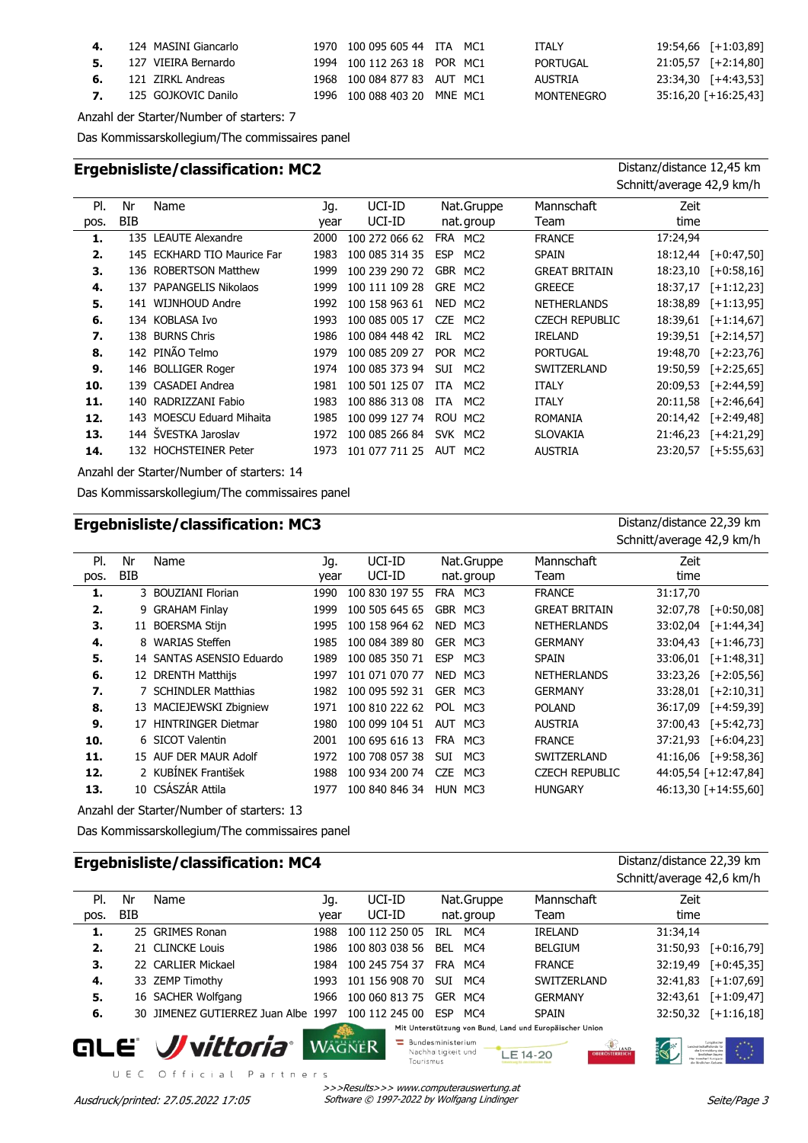| 4. 124 MASINI Giancarlo       | 1970 100 095 605 44 ITA MC1 |  | <b>ITALY</b>      | $19:54,66$ [+1:03,89]  |
|-------------------------------|-----------------------------|--|-------------------|------------------------|
| 5. 127 VIEIRA Bernardo        | 1994 100 112 263 18 POR MC1 |  | PORTUGAL          | $21:05,57$ [+2:14,80]  |
| <b>6.</b> 121 ZIRKL Andreas   | 1968 100 084 877 83 AUT MC1 |  | AUSTRIA           | 23:34,30 [+4:43,53]    |
| <b>7.</b> 125 GOJKOVIC Danilo | 1996 100 088 403 20 MNE MC1 |  | <b>MONTENEGRO</b> | $35:16,20$ [+16:25,43] |

Anzahl der Starter/Number of starters: 7

Das Kommissarskollegium/The commissaires panel

# **Ergebnisliste/classification: MC2** Distanz/distance 12,45 km

Schnitt/average 42,9 km/h

| PI.  | Nr         | Name                        | Jq.  | UCI-ID         |            | Nat.Gruppe      | Mannschaft            | Zeit     |               |
|------|------------|-----------------------------|------|----------------|------------|-----------------|-----------------------|----------|---------------|
| pos. | <b>BIB</b> |                             | vear | UCI-ID         |            | nat. group      | Team                  | time     |               |
| 1.   |            | 135 LEAUTE Alexandre        | 2000 | 100 272 066 62 | FRA        | MC2             | <b>FRANCE</b>         | 17:24,94 |               |
| 2.   |            | 145 ECKHARD TIO Maurice Far | 1983 | 100 085 314 35 | <b>ESP</b> | MC <sub>2</sub> | <b>SPAIN</b>          | 18:12,44 | $[-0:47,50]$  |
| З.   |            | 136 ROBERTSON Matthew       | 1999 | 100 239 290 72 | <b>GBR</b> | MC <sub>2</sub> | <b>GREAT BRITAIN</b>  | 18:23,10 | $[-10:58,16]$ |
| 4.   |            | 137 PAPANGELIS Nikolaos     | 1999 | 100 111 109 28 | <b>GRE</b> | MC <sub>2</sub> | <b>GREECE</b>         | 18:37,17 | $[-1:12,23]$  |
| 5.   |            | 141 WIJNHOUD Andre          | 1992 | 100 158 963 61 |            | NED MC2         | <b>NETHERLANDS</b>    | 18:38,89 | $[-1:13,95]$  |
| 6.   |            | 134 KOBLASA Ivo             | 1993 | 100 085 005 17 | <b>CZE</b> | MC <sub>2</sub> | <b>CZECH REPUBLIC</b> | 18:39,61 | $[-1:14,67]$  |
| 7.   |            | 138 BURNS Chris             | 1986 | 100 084 448 42 | IRL        | MC <sub>2</sub> | <b>IRELAND</b>        | 19:39,51 | $[-2:14,57]$  |
| 8.   |            | 142 PINÃO Telmo             | 1979 | 100 085 209 27 | <b>POR</b> | MC2             | <b>PORTUGAL</b>       | 19:48,70 | $[-2:23,76]$  |
| 9.   |            | 146 BOLLIGER Roger          | 1974 | 100 085 373 94 | <b>SUI</b> | MC <sub>2</sub> | SWITZERLAND           | 19:50,59 | $[-2:25,65]$  |
| 10.  |            | 139 CASADEI Andrea          | 1981 | 100 501 125 07 | <b>ITA</b> | MC <sub>2</sub> | <b>ITALY</b>          | 20:09,53 | $[-2:44,59]$  |
| 11.  |            | 140 RADRIZZANI Fabio        | 1983 | 100 886 313 08 | <b>ITA</b> | MC <sub>2</sub> | <b>ITALY</b>          | 20:11,58 | $[-2:46,64]$  |
| 12.  |            | 143 MOESCU Eduard Mihaita   | 1985 | 100 099 127 74 |            | ROU MC2         | <b>ROMANIA</b>        | 20:14,42 | $[-2:49,48]$  |
| 13.  |            | 144 ŠVESTKA Jaroslav        | 1972 | 100 085 266 84 | <b>SVK</b> | MC2             | <b>SLOVAKIA</b>       | 21:46,23 | $[-4:21,29]$  |
| 14.  |            | 132 HOCHSTEINER Peter       | 1973 | 101 077 711 25 | AUT        | MC <sub>2</sub> | <b>AUSTRIA</b>        | 23:20,57 | $[-5:55,63]$  |
|      |            |                             |      |                |            |                 |                       |          |               |

Anzahl der Starter/Number of starters: 14

Das Kommissarskollegium/The commissaires panel

## **Ergebnisliste/classification: MC3** Distanz/distance 22,39 km

|      |     |                           |      |                |                   |                       | Schnitt/average 42,9 km/h |
|------|-----|---------------------------|------|----------------|-------------------|-----------------------|---------------------------|
| PI.  | Nr  | Name                      | Jq.  | UCI-ID         | Nat.Gruppe        | Mannschaft            | Zeit                      |
| pos. | BIB |                           | year | UCI-ID         | nat. group        | Team                  | time                      |
| 1.   |     | 3 BOUZIANI Florian        | 1990 | 100 830 197 55 | FRA MC3           | <b>FRANCE</b>         | 31:17,70                  |
| 2.   | 9   | <b>GRAHAM Finlay</b>      | 1999 | 100 505 645 65 | GBR MC3           | <b>GREAT BRITAIN</b>  | 32:07,78<br>$[-6:50,08]$  |
| з.   |     | 11 BOERSMA Stijn          | 1995 | 100 158 964 62 | NED<br>MC3        | <b>NETHERLANDS</b>    | $[-1:44,34]$<br>33:02.04  |
| 4.   | 8   | <b>WARIAS Steffen</b>     | 1985 | 100 084 389 80 | GER MC3           | <b>GERMANY</b>        | $[-1:46,73]$<br>33:04,43  |
| 5.   |     | 14 SANTAS ASENSIO Eduardo | 1989 | 100 085 350 71 | <b>ESP</b><br>MC3 | <b>SPAIN</b>          | 33:06,01<br>$[-1:48,31]$  |
| 6.   |     | 12 DRENTH Matthijs        | 1997 | 101 071 070 77 | NED<br>MC3        | <b>NETHERLANDS</b>    | 33:23,26<br>$[-2:05,56]$  |
| 7.   |     | 7 SCHINDLER Matthias      | 1982 | 100 095 592 31 | GER MC3           | <b>GERMANY</b>        | 33:28,01<br>$[-2:10,31]$  |
| 8.   |     | 13 MACIEJEWSKI Zbigniew   | 1971 | 100 810 222 62 | POL<br>MC3        | <b>POLAND</b>         | 36:17,09<br>$[-4:59,39]$  |
| 9.   |     | 17 HINTRINGER Dietmar     | 1980 | 100 099 104 51 | AUT MC3           | <b>AUSTRIA</b>        | 37:00.43<br>$[-5:42,73]$  |
| 10.  |     | 6 SICOT Valentin          | 2001 | 100 695 616 13 | <b>FRA</b><br>MC3 | <b>FRANCE</b>         | 37:21,93<br>$[-6:04,23]$  |
| 11.  |     | 15 AUF DER MAUR Adolf     | 1972 | 100 708 057 38 | <b>SUI</b><br>MC3 | SWITZERLAND           | $41:16,06$ [+9:58,36]     |
| 12.  |     | 2 KUBİNEK František       | 1988 | 100 934 200 74 | CZE<br>MC3        | <b>CZECH REPUBLIC</b> | 44:05,54 [+12:47,84]      |
| 13.  |     | 10 CSÁSZÁR Attila         | 1977 | 100 840 846 34 | HUN MC3           | <b>HUNGARY</b>        | 46:13,30 [+14:55,60]      |

Anzahl der Starter/Number of starters: 13

Das Kommissarskollegium/The commissaires panel

UEC Official Partners

# **Ergebnisliste/classification: MC4** Distanz/distance 22,39 km

Schnitt/average 42,6 km/h Pl. Nr Jg. UCI-ID Zeit Name Mannschaft (1990) Jg. UCI-ID Nat. Gruppe Mannschaft BIB year Team pos. UCI-ID time nat. group **1.** 25 GRIMES Ronan 1988 100 112 250 05 IRL MC4 IRELAND 31:34,14 **2.** 21 CLINCKE Louis 1986 100 803 038 56 BEL MC4 BELGIUM 31:50,93 [+0:16,79] **3.** 22 CARLIER Mickael 1984 100 245 754 37 FRA MC4 FRANCE 32:19,49 [+0:45,35] **4.** 33 ZEMP Timothy 1993 101 156 908 70 SUI MC4 SWITZERLAND 32:41,83 [+1:07,69] **5.** 16 SACHER Wolfgang 1966 100 060 813 75 GER MC4 GERMANY 32:43,61 [+1:09,47] **6.** 30 JIMENEZ GUTIERREZ Juan Albe 1997 100 112 245 00 ESP MC4 SPAIN 32:50,32 [+1:16,18] Mit Unterstützung von Bund, Land und Europäischer Union **Bundesministerium** are: **//** vittoria<sup>.</sup> **WAGNER** 

Nachhaltigkeit und LE 14-20 Tourismus

>>>Results>>> www.computerauswertung.at Ausdruck/printed: 27.05.2022 17:05 Software © 1997-2022 by Wolfgang Lindinger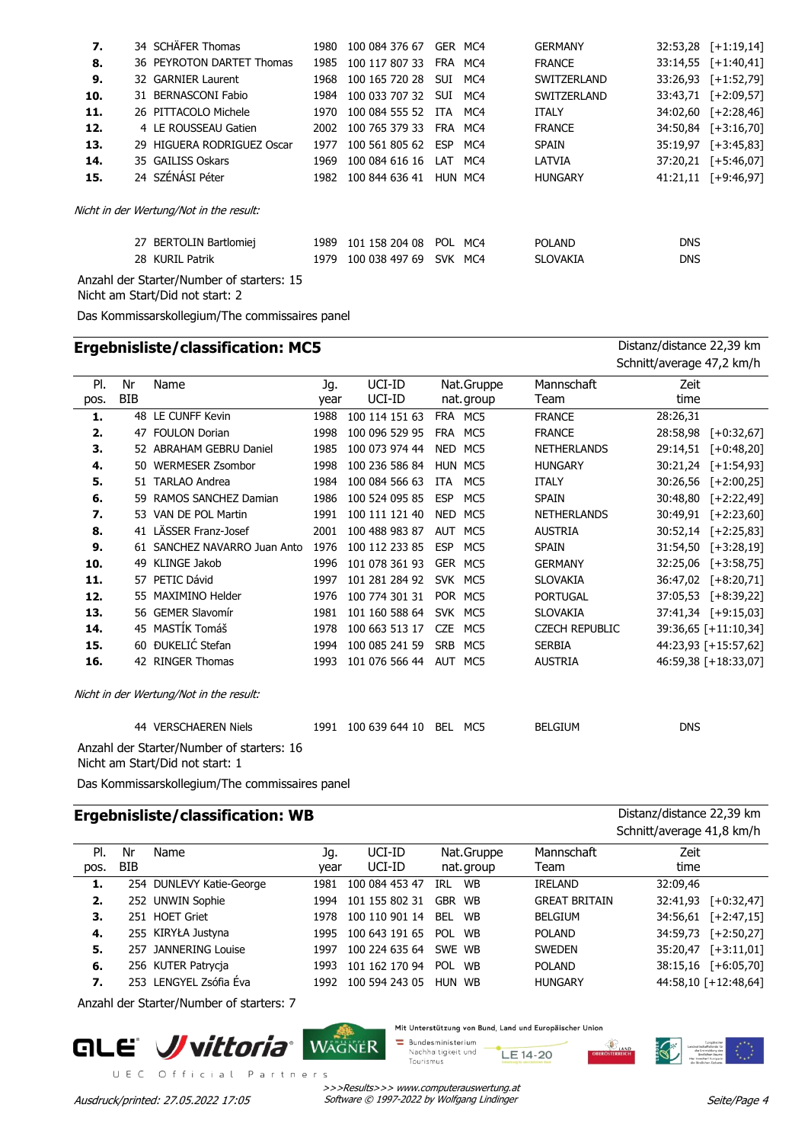| 7.  |                                           | 34 SCHÄFER Thomas                       | 1980 | 100 084 376 67 |            | GER MC4 | <b>GERMANY</b>  | 32:53,28   | $[-1:19,14]$          |  |
|-----|-------------------------------------------|-----------------------------------------|------|----------------|------------|---------|-----------------|------------|-----------------------|--|
| 8.  |                                           | 36 PEYROTON DARTET Thomas               | 1985 | 100 117 807 33 | FRA MC4    |         | <b>FRANCE</b>   |            | $33:14.55$ [+1:40.41] |  |
| 9.  |                                           | 32 GARNIER Laurent                      | 1968 | 100 165 720 28 | SUI.       | MC4     | SWITZERLAND     | 33:26,93   | [+1:52,79]            |  |
| 10. |                                           | 31 BERNASCONI Fabio                     | 1984 | 100 033 707 32 | <b>SUI</b> | MC4     | SWITZERLAND     | 33:43,71   | $[-2:09,57]$          |  |
| 11. |                                           | 26 PITTACOLO Michele                    | 1970 | 100 084 555 52 | ITA        | MC4     | <b>ITALY</b>    |            | $34:02,60$ [+2:28,46] |  |
| 12. |                                           | 4 LE ROUSSEAU Gatien                    | 2002 | 100 765 379 33 |            | FRA MC4 | <b>FRANCE</b>   |            | 34:50,84 [+3:16,70]   |  |
| 13. |                                           | 29 HIGUERA RODRIGUEZ Oscar              | 1977 | 100 561 805 62 | ESP MC4    |         | <b>SPAIN</b>    | 35:19,97   | $[-3:45,83]$          |  |
| 14. |                                           | 35 GAILISS Oskars                       | 1969 | 100 084 616 16 | LAT        | MC4     | LATVIA          |            | 37:20,21 [+5:46,07]   |  |
| 15. |                                           | 24 SZÉNÁSI Péter                        | 1982 | 100 844 636 41 | HUN MC4    |         | <b>HUNGARY</b>  |            | $41:21,11$ [+9:46,97] |  |
|     |                                           | Nicht in der Wertung/Not in the result: |      |                |            |         |                 |            |                       |  |
|     |                                           | 27 BERTOLIN Bartlomiej                  | 1989 | 101 158 204 08 | POL        | MC4     | <b>POLAND</b>   | <b>DNS</b> |                       |  |
|     |                                           | 28 KURIL Patrik                         | 1979 | 100 038 497 69 |            | SVK MC4 | <b>SLOVAKIA</b> | <b>DNS</b> |                       |  |
|     | Anzahl der Starter/Number of starters: 15 |                                         |      |                |            |         |                 |            |                       |  |

Nicht am Start/Did not start: 2

Das Kommissarskollegium/The commissaires panel

|      |            | <b>Ergebnisliste/classification: MC5</b>                                     |      |                |            |            |                       | Distanz/distance 22,39 km |
|------|------------|------------------------------------------------------------------------------|------|----------------|------------|------------|-----------------------|---------------------------|
|      |            |                                                                              |      |                |            |            |                       | Schnitt/average 47,2 km/h |
| PI.  | Nr         | Name                                                                         | Jg.  | UCI-ID         |            | Nat.Gruppe | Mannschaft            | Zeit                      |
| pos. | <b>BIB</b> |                                                                              | year | UCI-ID         |            | nat.group  | Team                  | time                      |
| 1.   |            | 48 LE CUNFF Kevin                                                            | 1988 | 100 114 151 63 |            | FRA MC5    | <b>FRANCE</b>         | 28:26,31                  |
| 2.   |            | 47 FOULON Dorian                                                             | 1998 | 100 096 529 95 | <b>FRA</b> | MC5        | <b>FRANCE</b>         | 28:58,98<br>$[-10:32,67]$ |
| 3.   |            | 52 ABRAHAM GEBRU Daniel                                                      | 1985 | 100 073 974 44 | NED        | MC5        | <b>NETHERLANDS</b>    | 29:14,51<br>$[-10:48,20]$ |
| 4.   |            | 50 WERMESER Zsombor                                                          | 1998 | 100 236 586 84 |            | HUN MC5    | <b>HUNGARY</b>        | 30:21,24 [+1:54,93]       |
| 5.   |            | 51 TARLAO Andrea                                                             | 1984 | 100 084 566 63 | <b>ITA</b> | MC5        | <b>ITALY</b>          | 30:26,56<br>$[-2:00,25]$  |
| 6.   |            | 59 RAMOS SANCHEZ Damian                                                      | 1986 | 100 524 095 85 | <b>ESP</b> | MC5        | <b>SPAIN</b>          | $[-2:22,49]$<br>30:48,80  |
| 7.   | 53         | VAN DE POL Martin                                                            | 1991 | 100 111 121 40 | <b>NED</b> | MC5        | <b>NETHERLANDS</b>    | 30:49,91 [+2:23,60]       |
| 8.   |            | 41 LÄSSER Franz-Josef                                                        | 2001 | 100 488 983 87 | <b>AUT</b> | MC5        | <b>AUSTRIA</b>        | 30:52,14 [+2:25,83]       |
| 9.   |            | 61 SANCHEZ NAVARRO Juan Anto                                                 | 1976 | 100 112 233 85 | <b>ESP</b> | MC5        | <b>SPAIN</b>          | 31:54,50<br>$[-3:28,19]$  |
| 10.  |            | 49 KLINGE Jakob                                                              | 1996 | 101 078 361 93 |            | GER MC5    | <b>GERMANY</b>        | 32:25,06<br>$[-13:58,75]$ |
| 11.  |            | 57 PETIC Dávid                                                               | 1997 | 101 281 284 92 |            | SVK MC5    | <b>SLOVAKIA</b>       | 36:47,02 [+8:20,71]       |
| 12.  | 55.        | MAXIMINO Helder                                                              | 1976 | 100 774 301 31 |            | POR MC5    | <b>PORTUGAL</b>       | 37:05,53<br>[+8:39,22]    |
| 13.  |            | 56 GEMER Slavomír                                                            | 1981 | 101 160 588 64 |            | SVK MC5    | <b>SLOVAKIA</b>       | 37:41,34 [+9:15,03]       |
| 14.  |            | 45 MASTÍK Tomáš                                                              | 1978 | 100 663 513 17 | <b>CZE</b> | MC5        | <b>CZECH REPUBLIC</b> | 39:36,65 [+11:10,34]      |
| 15.  |            | 60 ĐUKELIĆ Stefan                                                            | 1994 | 100 085 241 59 | <b>SRB</b> | MC5        | <b>SERBIA</b>         | 44:23,93 [+15:57,62]      |
| 16.  |            | 42 RINGER Thomas                                                             | 1993 | 101 076 566 44 |            | AUT MC5    | <b>AUSTRIA</b>        | 46:59,38 [+18:33,07]      |
|      |            | Nicht in der Wertung/Not in the result:                                      |      |                |            |            |                       |                           |
|      |            | 44 VERSCHAEREN Niels                                                         | 1991 | 100 639 644 10 |            | BEL MC5    | <b>BELGIUM</b>        | <b>DNS</b>                |
|      |            | Anzahl der Starter/Number of starters: 16<br>Nicht am Start/Did not start: 1 |      |                |            |            |                       |                           |

Das Kommissarskollegium/The commissaires panel

# **Ergebnisliste/classification: WB** Distanz/distance 22,39 km

Schnitt/average 41,8 km/h

| PI.  | Nr   | Name                     | Jq.  | UCI-ID         | Nat.Gruppe       | Mannschaft           | Zeit     |                      |
|------|------|--------------------------|------|----------------|------------------|----------------------|----------|----------------------|
| pos. | BIB  |                          | vear | UCI-ID         | nat. group       | Team                 | time     |                      |
| 1.   |      | 254 DUNLEVY Katie-George | 1981 | 100 084 453 47 | <b>WB</b><br>IRL | <b>IRELAND</b>       | 32:09,46 |                      |
| 2.   |      | 252 UNWIN Sophie         | 1994 | 101 155 802 31 | GBR WB           | <b>GREAT BRITAIN</b> | 32:41,93 | $[-10:32,47]$        |
| З.   | 251. | <b>HOET Griet</b>        | 1978 | 100 110 901 14 | WB<br>BFI        | <b>BELGIUM</b>       | 34:56,61 | $[-2:47,15]$         |
| 4.   |      | 255 KIRYŁA Justyna       | 1995 | 100 643 191 65 | POL<br><b>WB</b> | <b>POLAND</b>        | 34:59,73 | $[-2:50,27]$         |
| 5.   |      | 257 JANNERING Louise     | 1997 | 100 224 635 64 | SWE WB           | <b>SWEDEN</b>        | 35:20,47 | $[-3:11,01]$         |
| 6.   |      | 256 KUTER Patrycja       | 1993 | 101 162 170 94 | <b>POL</b><br>WB | <b>POLAND</b>        | 38:15,16 | $[-6:05,70]$         |
| 7.   |      | 253 LENGYEL Zsófia Éva   | 1992 | 100 594 243 05 | HUN WB           | <b>HUNGARY</b>       |          | 44:58,10 [+12:48,64] |
|      |      |                          |      |                |                  |                      |          |                      |

Anzahl der Starter/Number of starters: 7



Mit Unterstützung von Bund, Land und Europäischer Union

Bundesministerium<br>Nachhaltigkeit und

LE 14-20 Tourismus

landwirtschaf<br>de Entwi<br>IBndlef<br>Har Inwetter<br>de Ibndlefe

**B**<br>OSTERREICH

>>>Results>>> www.computerauswertung.at Ausdruck/printed: 27.05.2022 17:05 Software © 1997-2022 by Wolfgang Lindinger